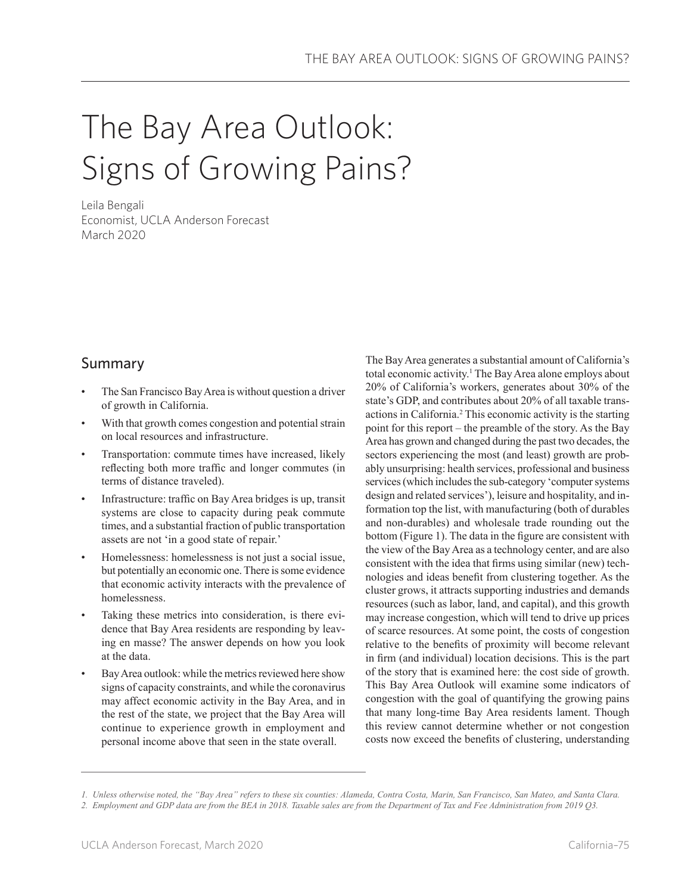# The Bay Area Outlook: Signs of Growing Pains?

Leila Bengali Economist, UCLA Anderson Forecast March 2020

# Summary

- The San Francisco Bay Area is without question a driver of growth in California.
- With that growth comes congestion and potential strain on local resources and infrastructure.
- Transportation: commute times have increased, likely reflecting both more traffic and longer commutes (in terms of distance traveled).
- Infrastructure: traffic on Bay Area bridges is up, transit systems are close to capacity during peak commute times, and a substantial fraction of public transportation assets are not 'in a good state of repair.'
- Homelessness: homelessness is not just a social issue, but potentially an economic one. There is some evidence that economic activity interacts with the prevalence of homelessness.
- Taking these metrics into consideration, is there evidence that Bay Area residents are responding by leaving en masse? The answer depends on how you look at the data.
- Bay Area outlook: while the metrics reviewed here show signs of capacity constraints, and while the coronavirus may affect economic activity in the Bay Area, and in the rest of the state, we project that the Bay Area will continue to experience growth in employment and personal income above that seen in the state overall.

The Bay Area generates a substantial amount of California's total economic activity.<sup>1</sup> The Bay Area alone employs about 20% of California's workers, generates about 30% of the state's GDP, and contributes about 20% of all taxable transactions in California.<sup>2</sup> This economic activity is the starting point for this report – the preamble of the story. As the Bay Area has grown and changed during the past two decades, the sectors experiencing the most (and least) growth are probably unsurprising: health services, professional and business services (which includes the sub-category 'computer systems design and related services'), leisure and hospitality, and information top the list, with manufacturing (both of durables and non-durables) and wholesale trade rounding out the bottom (Figure 1). The data in the figure are consistent with the view of the Bay Area as a technology center, and are also consistent with the idea that firms using similar (new) technologies and ideas benefit from clustering together. As the cluster grows, it attracts supporting industries and demands resources (such as labor, land, and capital), and this growth may increase congestion, which will tend to drive up prices of scarce resources. At some point, the costs of congestion relative to the benefits of proximity will become relevant in firm (and individual) location decisions. This is the part of the story that is examined here: the cost side of growth. This Bay Area Outlook will examine some indicators of congestion with the goal of quantifying the growing pains that many long-time Bay Area residents lament. Though this review cannot determine whether or not congestion costs now exceed the benefits of clustering, understanding

*<sup>1.</sup> Unless otherwise noted, the "Bay Area" refers to these six counties: Alameda, Contra Costa, Marin, San Francisco, San Mateo, and Santa Clara.*

*<sup>2.</sup> Employment and GDP data are from the BEA in 2018. Taxable sales are from the Department of Tax and Fee Administration from 2019 Q3.*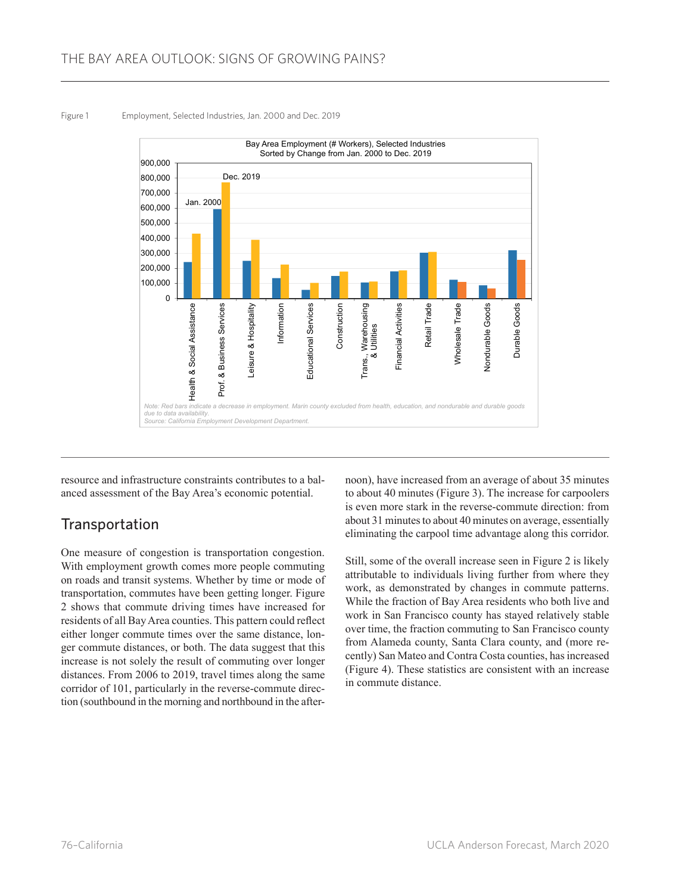#### Figure 1 Employment, Selected Industries, Jan. 2000 and Dec. 2019



resource and infrastructure constraints contributes to a balanced assessment of the Bay Area's economic potential.

## **Transportation**

One measure of congestion is transportation congestion. With employment growth comes more people commuting on roads and transit systems. Whether by time or mode of transportation, commutes have been getting longer. Figure 2 shows that commute driving times have increased for residents of all Bay Area counties. This pattern could reflect either longer commute times over the same distance, longer commute distances, or both. The data suggest that this increase is not solely the result of commuting over longer distances. From 2006 to 2019, travel times along the same corridor of 101, particularly in the reverse-commute direction (southbound in the morning and northbound in the afternoon), have increased from an average of about 35 minutes to about 40 minutes (Figure 3). The increase for carpoolers is even more stark in the reverse-commute direction: from about 31 minutes to about 40 minutes on average, essentially eliminating the carpool time advantage along this corridor.

Still, some of the overall increase seen in Figure 2 is likely attributable to individuals living further from where they work, as demonstrated by changes in commute patterns. While the fraction of Bay Area residents who both live and work in San Francisco county has stayed relatively stable over time, the fraction commuting to San Francisco county from Alameda county, Santa Clara county, and (more recently) San Mateo and Contra Costa counties, has increased (Figure 4). These statistics are consistent with an increase in commute distance.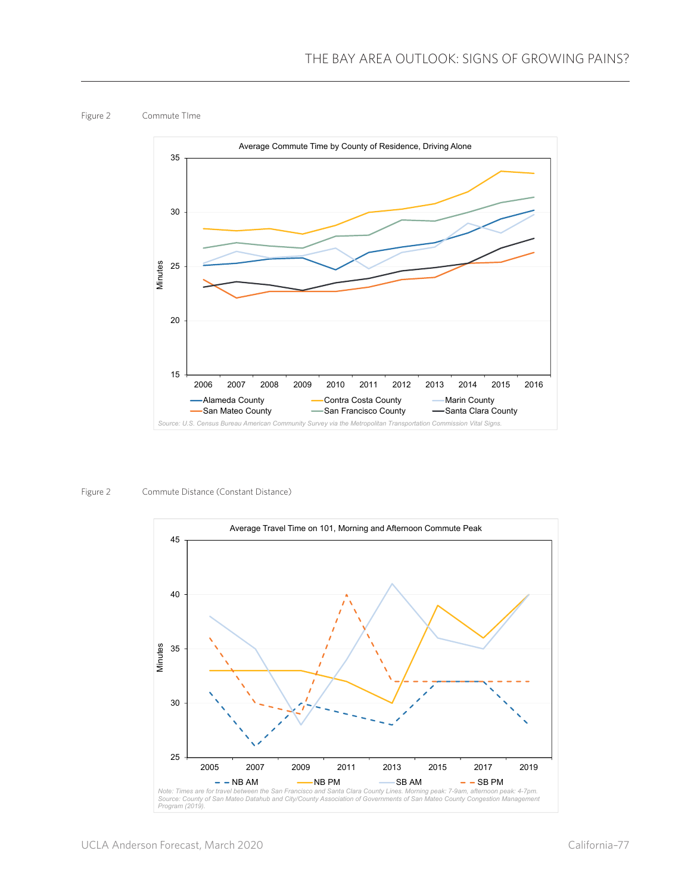Figure 2 Commute TIme



Figure 2 Commute Distance (Constant Distance)

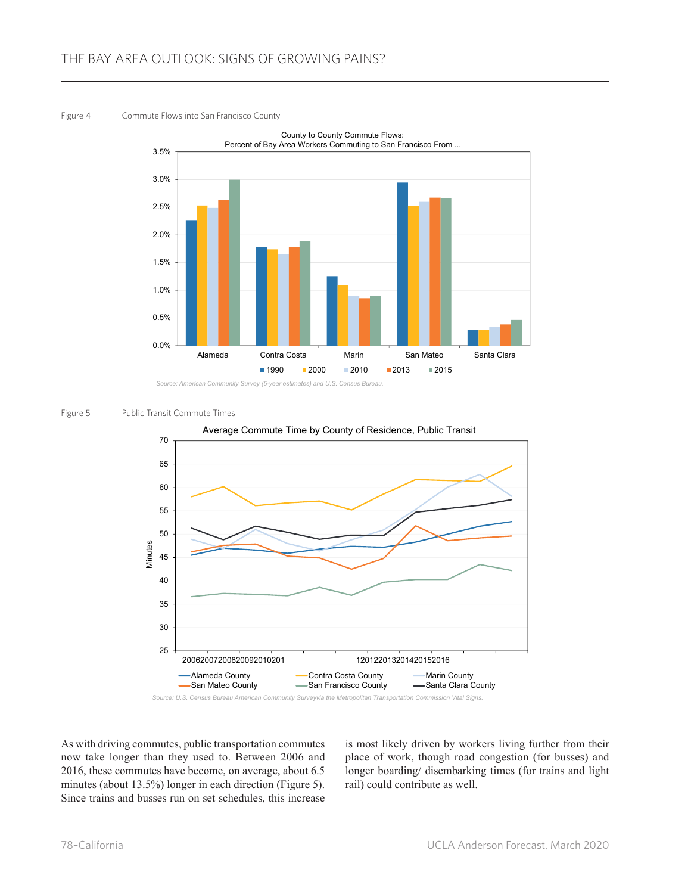#### Figure 4 Commute Flows into San Francisco County



*Source: American Community Survey (5-year estimates) and U.S. Census Bureau.*

#### Figure 5 Public Transit Commute Times



As with driving commutes, public transportation commutes now take longer than they used to. Between 2006 and 2016, these commutes have become, on average, about 6.5 minutes (about 13.5%) longer in each direction (Figure 5). Since trains and busses run on set schedules, this increase

is most likely driven by workers living further from their place of work, though road congestion (for busses) and longer boarding/ disembarking times (for trains and light rail) could contribute as well.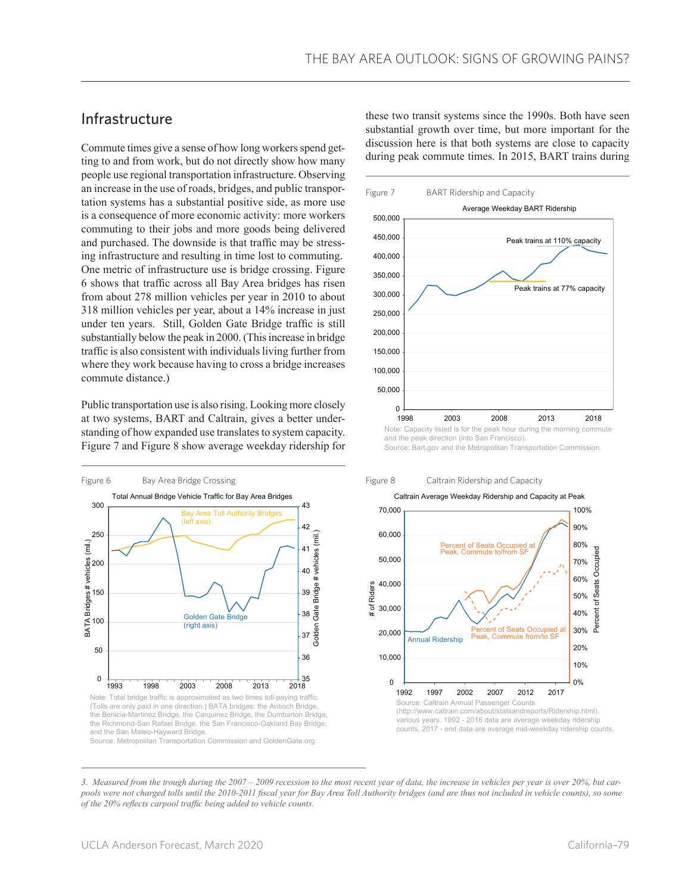## Infrastructure

Commute times give a sense of how long workers spend getting to and from work, but do not directly show how many people use regional transportation infrastructure. Observing an increase in the use of roads, bridges, and public transportation systems has a substantial positive side, as more use is a consequence of more economic activity: more workers commuting to their jobs and more goods being delivered and purchased. The downside is that traffic may be stressing infrastructure and resulting in time lost to commuting. One metric of infrastructure use is bridge crossing. Figure 6 shows that traffic across all Bay Area bridges has risen from about 278 million vehicles per year in 2010 to about 318 million vehicles per year, about a 14% increase in just under ten years. Still, Golden Gate Bridge traffic is still substantially below the peak in 2000. (This increase in bridge traffic is also consistent with individuals living further from where they work because having to cross a bridge increases commute distance.)

Public transportation use is also rising. Looking more closely at two systems, BART and Caltrain, gives a better understanding of how expanded use translates to system capacity. Figure 7 and Figure 8 show average weekday ridership for



(Tolls are only paid in one direction.) BATA bridges: the Antioch Bridge, the Benicia-Martinez Bridge, the Carquinez Bridge, the Dumbarton Bridge, the Richmond-San Rafael Bridge, the San Francisco-Oakland Bay Bridge, and the San Mateo-Hayward Bridge. Source: Metropolitan Transportation Commission and GoldenGate.org.

these two transit systems since the 1990s. Both have seen substantial growth over time, but more important for the discussion here is that both systems are close to capacity during peak commute times. In 2015, BART trains during



and the peak direction (into San Francisco). Source: Bart.gov and the Metropolitan Transportation Commission.

Figure 8 Caltrain Ridership and Capacity



*<sup>3.</sup> Measured from the trough during the 2007 – 2009 recession to the most recent year of data, the increase in vehicles per year is over 20%, but carpools were not charged tolls until the 2010-2011 fiscal year for Bay Area Toll Authority bridges (and are thus not included in vehicle counts), so some of the 20% reflects carpool traffic being added to vehicle counts.*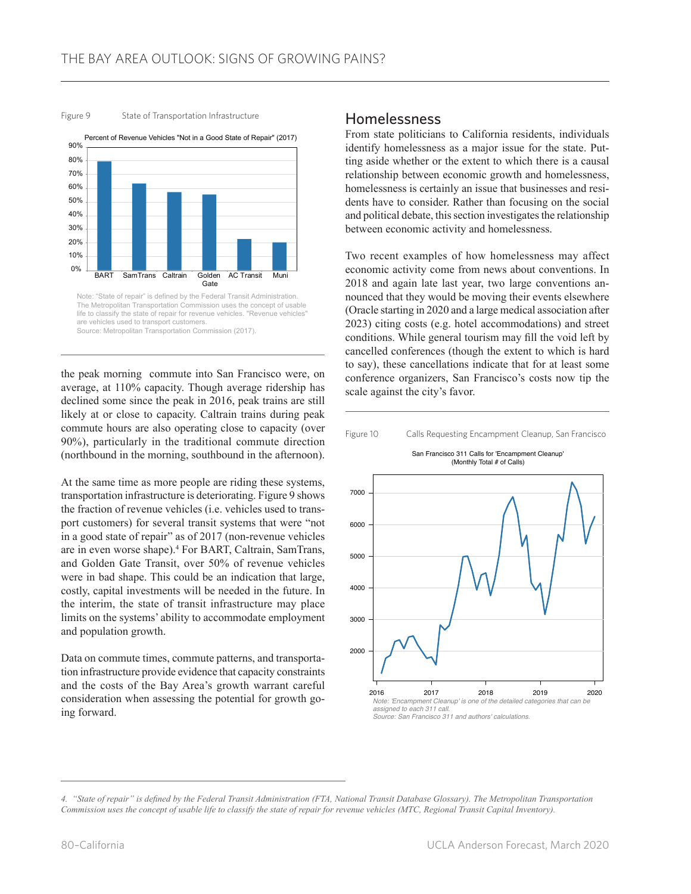



life to classify the state of repair for revenue vehicles. "Revenue vehicles are vehicles used to transport customers. Source: Metropolitan Transportation Commission (2017).

the peak morning commute into San Francisco were, on average, at 110% capacity. Though average ridership has declined some since the peak in 2016, peak trains are still likely at or close to capacity. Caltrain trains during peak commute hours are also operating close to capacity (over 90%), particularly in the traditional commute direction (northbound in the morning, southbound in the afternoon).

At the same time as more people are riding these systems, transportation infrastructure is deteriorating. Figure 9 shows the fraction of revenue vehicles (i.e. vehicles used to transport customers) for several transit systems that were "not in a good state of repair" as of 2017 (non-revenue vehicles are in even worse shape).4 For BART, Caltrain, SamTrans, and Golden Gate Transit, over 50% of revenue vehicles were in bad shape. This could be an indication that large, costly, capital investments will be needed in the future. In the interim, the state of transit infrastructure may place limits on the systems' ability to accommodate employment and population growth.

Data on commute times, commute patterns, and transportation infrastructure provide evidence that capacity constraints and the costs of the Bay Area's growth warrant careful consideration when assessing the potential for growth going forward.

### Homelessness

From state politicians to California residents, individuals identify homelessness as a major issue for the state. Putting aside whether or the extent to which there is a causal relationship between economic growth and homelessness, homelessness is certainly an issue that businesses and residents have to consider. Rather than focusing on the social and political debate, this section investigates the relationship between economic activity and homelessness.

Two recent examples of how homelessness may affect economic activity come from news about conventions. In 2018 and again late last year, two large conventions announced that they would be moving their events elsewhere (Oracle starting in 2020 and a large medical association after 2023) citing costs (e.g. hotel accommodations) and street conditions. While general tourism may fill the void left by cancelled conferences (though the extent to which is hard to say), these cancellations indicate that for at least some conference organizers, San Francisco's costs now tip the scale against the city's favor.



*<sup>4.</sup> "State of repair" is defined by the Federal Transit Administration (FTA, National Transit Database Glossary). The Metropolitan Transportation Commission uses the concept of usable life to classify the state of repair for revenue vehicles (MTC, Regional Transit Capital Inventory).*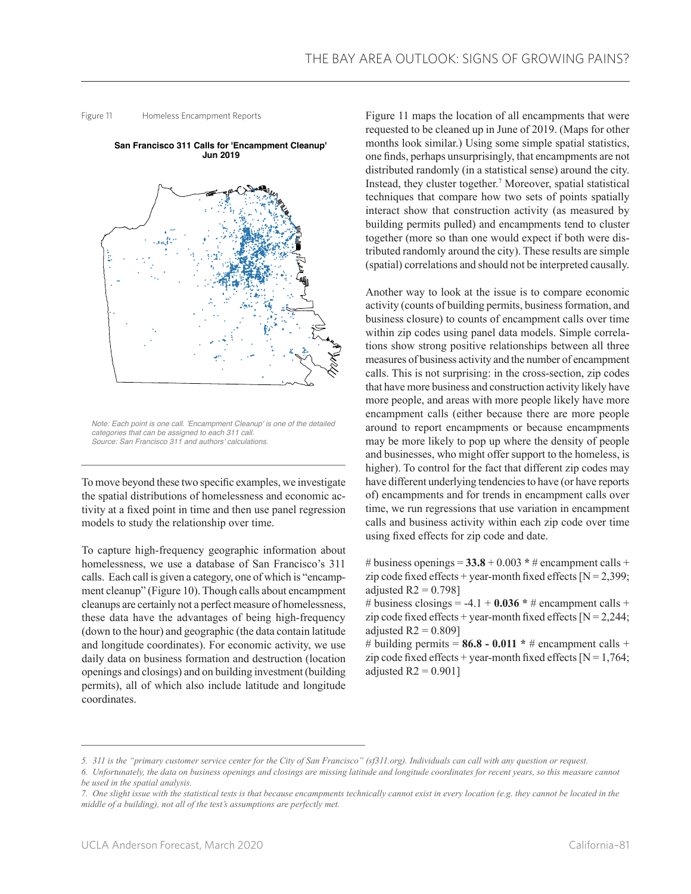Figure 11 Homeless Encampment Reports



*Note: Each point is one call. 'Encampment Cleanup' is one of the detailed categories that can be assigned to each 311 call. Source: San Francisco 311 and authors' calculations.*

To move beyond these two specific examples, we investigate the spatial distributions of homelessness and economic activity at a fixed point in time and then use panel regression models to study the relationship over time.

To capture high-frequency geographic information about homelessness, we use a database of San Francisco's 311 calls. Each call is given a category, one of which is "encampment cleanup" (Figure 10). Though calls about encampment cleanups are certainly not a perfect measure of homelessness, these data have the advantages of being high-frequency (down to the hour) and geographic (the data contain latitude and longitude coordinates). For economic activity, we use daily data on business formation and destruction (location openings and closings) and on building investment (building permits), all of which also include latitude and longitude coordinates.

Figure 11 maps the location of all encampments that were requested to be cleaned up in June of 2019. (Maps for other months look similar.) Using some simple spatial statistics, one finds, perhaps unsurprisingly, that encampments are not distributed randomly (in a statistical sense) around the city. Instead, they cluster together.7 Moreover, spatial statistical techniques that compare how two sets of points spatially interact show that construction activity (as measured by building permits pulled) and encampments tend to cluster together (more so than one would expect if both were distributed randomly around the city). These results are simple (spatial) correlations and should not be interpreted causally.

Another way to look at the issue is to compare economic activity (counts of building permits, business formation, and business closure) to counts of encampment calls over time within zip codes using panel data models. Simple correlations show strong positive relationships between all three measures of business activity and the number of encampment calls. This is not surprising: in the cross-section, zip codes that have more business and construction activity likely have more people, and areas with more people likely have more encampment calls (either because there are more people around to report encampments or because encampments may be more likely to pop up where the density of people and businesses, who might offer support to the homeless, is higher). To control for the fact that different zip codes may have different underlying tendencies to have (or have reports of) encampments and for trends in encampment calls over time, we run regressions that use variation in encampment calls and business activity within each zip code over time using fixed effects for zip code and date.

# business openings =  $33.8 + 0.003$  \* # encampment calls + zip code fixed effects + year-month fixed effects  $[N = 2,399]$ ; adjusted  $R2 = 0.798$ ]

# business closings =  $-4.1 + 0.036 * \text{\#}$  encampment calls + zip code fixed effects + year-month fixed effects [ $N = 2,244$ ; adjusted  $R2 = 0.809$ ]

# building permits =  $86.8 - 0.011$  \* # encampment calls + zip code fixed effects + year-month fixed effects  $[N = 1,764;$ adjusted  $R2 = 0.901$ 

*<sup>5.</sup> 311 is the "primary customer service center for the City of San Francisco" (sf311.org). Individuals can call with any question or request.* 

*<sup>6.</sup> Unfortunately, the data on business openings and closings are missing latitude and longitude coordinates for recent years, so this measure cannot be used in the spatial analysis.*

*<sup>7.</sup> One slight issue with the statistical tests is that because encampments technically cannot exist in every location (e.g. they cannot be located in the middle of a building), not all of the test's assumptions are perfectly met.*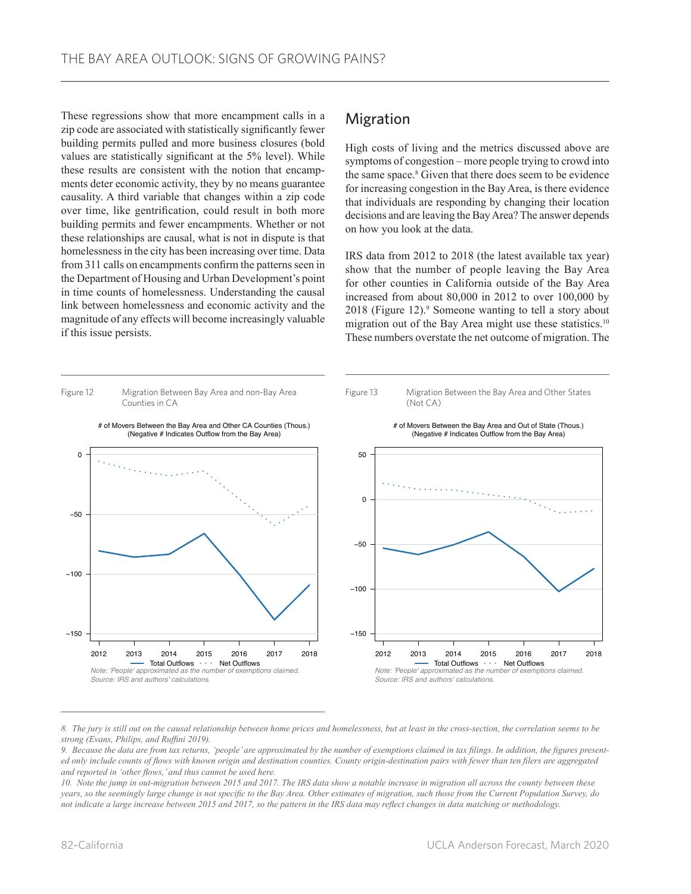These regressions show that more encampment calls in a zip code are associated with statistically significantly fewer building permits pulled and more business closures (bold values are statistically significant at the 5% level). While these results are consistent with the notion that encampments deter economic activity, they by no means guarantee causality. A third variable that changes within a zip code over time, like gentrification, could result in both more building permits and fewer encampments. Whether or not these relationships are causal, what is not in dispute is that homelessness in the city has been increasing over time. Data from 311 calls on encampments confirm the patterns seen in the Department of Housing and Urban Development's point in time counts of homelessness. Understanding the causal link between homelessness and economic activity and the magnitude of any effects will become increasingly valuable if this issue persists.

## Migration

High costs of living and the metrics discussed above are symptoms of congestion – more people trying to crowd into the same space.<sup>8</sup> Given that there does seem to be evidence for increasing congestion in the Bay Area, is there evidence that individuals are responding by changing their location decisions and are leaving the Bay Area? The answer depends on how you look at the data.

IRS data from 2012 to 2018 (the latest available tax year) show that the number of people leaving the Bay Area for other counties in California outside of the Bay Area increased from about 80,000 in 2012 to over 100,000 by 2018 (Figure 12).<sup>9</sup> Someone wanting to tell a story about migration out of the Bay Area might use these statistics.<sup>10</sup> These numbers overstate the net outcome of migration. The



*8. The jury is still out on the causal relationship between home prices and homelessness, but at least in the cross-section, the correlation seems to be strong (Evans, Philips, and Ruffini 2019).*

*9. Because the data are from tax returns, 'people' are approximated by the number of exemptions claimed in tax filings. In addition, the figures presented only include counts of flows with known origin and destination counties. County origin-destination pairs with fewer than ten filers are aggregated and reported in 'other flows,' and thus cannot be used here.*

*10. Note the jump in out-migration between 2015 and 2017. The IRS data show a notable increase in migration all across the county between these years, so the seemingly large change is not specific to the Bay Area. Other estimates of migration, such those from the Current Population Survey, do not indicate a large increase between 2015 and 2017, so the pattern in the IRS data may reflect changes in data matching or methodology.*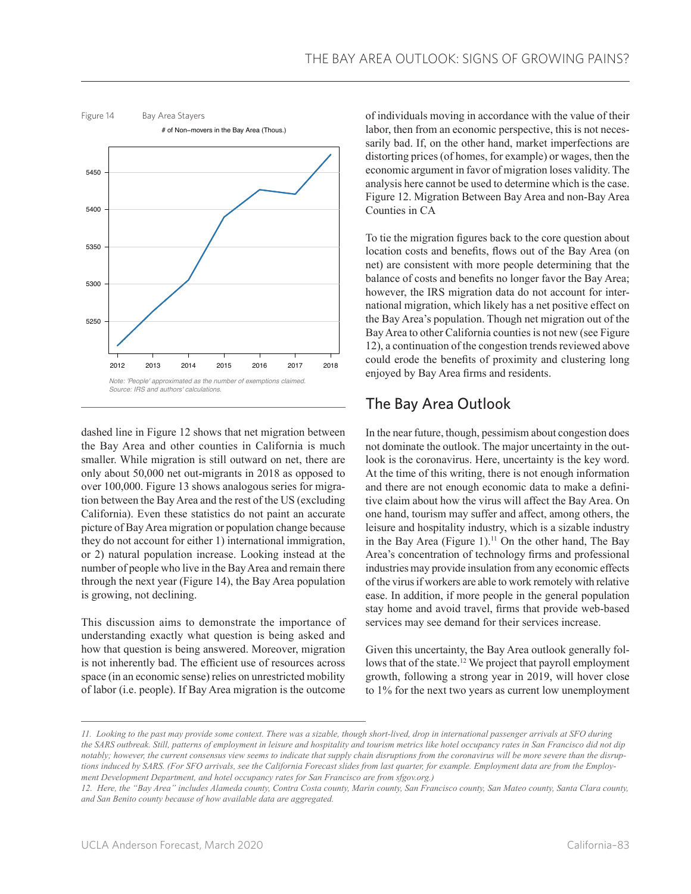

dashed line in Figure 12 shows that net migration between the Bay Area and other counties in California is much smaller. While migration is still outward on net, there are only about 50,000 net out-migrants in 2018 as opposed to over 100,000. Figure 13 shows analogous series for migration between the Bay Area and the rest of the US (excluding California). Even these statistics do not paint an accurate picture of Bay Area migration or population change because they do not account for either 1) international immigration, or 2) natural population increase. Looking instead at the number of people who live in the Bay Area and remain there through the next year (Figure 14), the Bay Area population is growing, not declining.

This discussion aims to demonstrate the importance of understanding exactly what question is being asked and how that question is being answered. Moreover, migration is not inherently bad. The efficient use of resources across space (in an economic sense) relies on unrestricted mobility of labor (i.e. people). If Bay Area migration is the outcome

of individuals moving in accordance with the value of their labor, then from an economic perspective, this is not necessarily bad. If, on the other hand, market imperfections are distorting prices (of homes, for example) or wages, then the economic argument in favor of migration loses validity. The analysis here cannot be used to determine which is the case. Figure 12. Migration Between Bay Area and non-Bay Area Counties in CA

To tie the migration figures back to the core question about location costs and benefits, flows out of the Bay Area (on net) are consistent with more people determining that the balance of costs and benefits no longer favor the Bay Area; however, the IRS migration data do not account for international migration, which likely has a net positive effect on the Bay Area's population. Though net migration out of the Bay Area to other California counties is not new (see Figure 12), a continuation of the congestion trends reviewed above could erode the benefits of proximity and clustering long enjoyed by Bay Area firms and residents.

# The Bay Area Outlook

In the near future, though, pessimism about congestion does not dominate the outlook. The major uncertainty in the outlook is the coronavirus. Here, uncertainty is the key word. At the time of this writing, there is not enough information and there are not enough economic data to make a definitive claim about how the virus will affect the Bay Area. On one hand, tourism may suffer and affect, among others, the leisure and hospitality industry, which is a sizable industry in the Bay Area (Figure 1).<sup>11</sup> On the other hand, The Bay Area's concentration of technology firms and professional industries may provide insulation from any economic effects of the virus if workers are able to work remotely with relative ease. In addition, if more people in the general population stay home and avoid travel, firms that provide web-based services may see demand for their services increase.

Given this uncertainty, the Bay Area outlook generally follows that of the state.12 We project that payroll employment growth, following a strong year in 2019, will hover close to 1% for the next two years as current low unemployment

*<sup>11.</sup> Looking to the past may provide some context. There was a sizable, though short-lived, drop in international passenger arrivals at SFO during the SARS outbreak. Still, patterns of employment in leisure and hospitality and tourism metrics like hotel occupancy rates in San Francisco did not dip notably; however, the current consensus view seems to indicate that supply chain disruptions from the coronavirus will be more severe than the disruptions induced by SARS. (For SFO arrivals, see the California Forecast slides from last quarter, for example. Employment data are from the Employment Development Department, and hotel occupancy rates for San Francisco are from sfgov.org.)*

*<sup>12.</sup> Here, the "Bay Area" includes Alameda county, Contra Costa county, Marin county, San Francisco county, San Mateo county, Santa Clara county, and San Benito county because of how available data are aggregated.*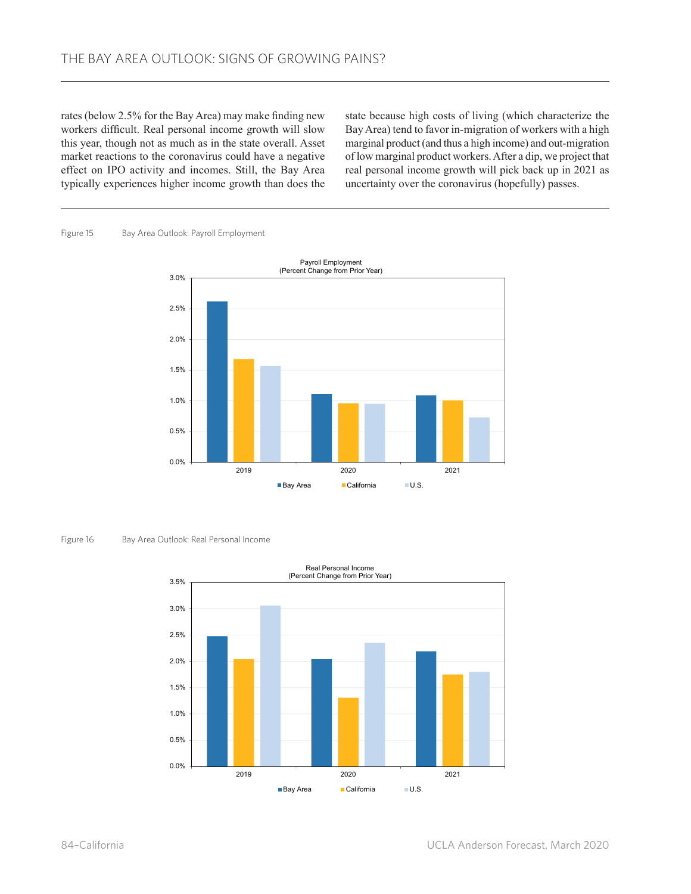rates (below 2.5% for the Bay Area) may make finding new workers difficult. Real personal income growth will slow this year, though not as much as in the state overall. Asset market reactions to the coronavirus could have a negative effect on IPO activity and incomes. Still, the Bay Area typically experiences higher income growth than does the

state because high costs of living (which characterize the Bay Area) tend to favor in-migration of workers with a high marginal product (and thus a high income) and out-migration of low marginal product workers. After a dip, we project that real personal income growth will pick back up in 2021 as uncertainty over the coronavirus (hopefully) passes.

Figure 15 Bay Area Outlook: Payroll Employment



Figure 16 Bay Area Outlook: Real Personal Income